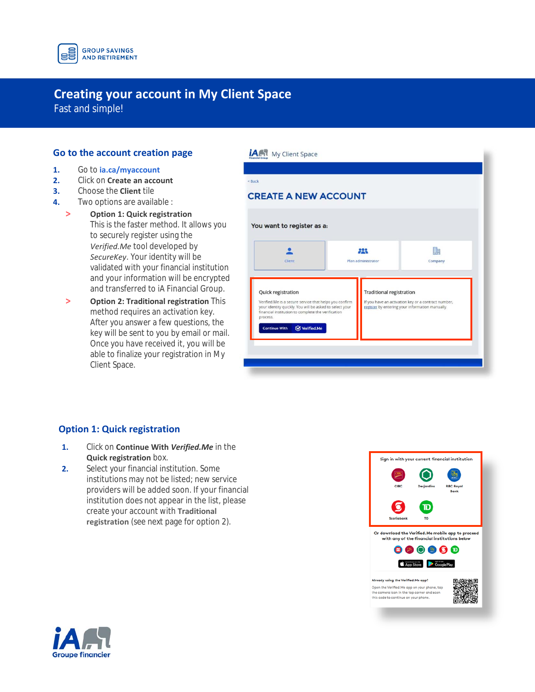

# **Creating your account in My Client Space**

Fast and simple!

### **Go to the account creation page**

- **1.** Go to **[ia.ca/myaccount](https://iac.secureweb.inalco.com/eemwpnp1/public/login?TYPE=33554433&REALMOID=06-8d1faca3-560c-4a78-9f4d-77664996ba90&GUID=&SMAUTHREASON=0&METHOD=GET&SMAGENTNAME=-SM-9DTfP3Puxdh%2f70NuRXE8g2M%2f3VIO3eH4K7rjIHQkl%2bDoer73RjPxF56BQlS2Ig7k&TARGET=-SM-https%3a%2f%2fiac%2esecureweb%2einalco%2ecom%2fwemwpn47)**
- **2.** Click on **Create an account**
- **3.** Choose the **Client** tile
- **4.** Two options are available :
	- $\geq$ **Option 1: Quick registration**  This is the faster method. It allows you to securely register using the *Verified.Me* tool developed by *SecureKey*. Your identity will be validated with your financial institution and your information will be encrypted and transferred to iA Financial Group.
	- $\geq$ **Option 2: Traditional registration** This method requires an activation key. After you answer a few questions, the key will be sent to you by email or mail. Once you have received it, you will be able to finalize your registration in My Client Space.

| <b>CREATE A NEW ACCOUNT</b>                                                                                                                                                                               |                                 |                                                                                                        |
|-----------------------------------------------------------------------------------------------------------------------------------------------------------------------------------------------------------|---------------------------------|--------------------------------------------------------------------------------------------------------|
| You want to register as a:                                                                                                                                                                                |                                 |                                                                                                        |
| Client                                                                                                                                                                                                    | 223<br>Plan administrator       | 駟<br>Company                                                                                           |
|                                                                                                                                                                                                           |                                 |                                                                                                        |
| Quick registration<br>Verified.Me is a secure service that helps you confirm<br>your identity quickly. You will be asked to select your<br>financial institution to complete the verification<br>process. | <b>Traditional registration</b> | If you have an activation key or a contract number,<br>register by entering your information manually. |
| Verified.Me<br><b>Continue With</b>                                                                                                                                                                       |                                 |                                                                                                        |

### **Option 1: Quick registration**

- **1.** Click on **Continue With** *Verified.Me* in the **Quick registration** box.
- **2.** Select your financial institution. Some institutions may not be listed; new service providers will be added soon. If your financial institution does not appear in the list, please create your account with **Traditional registration** (see next page for option 2).



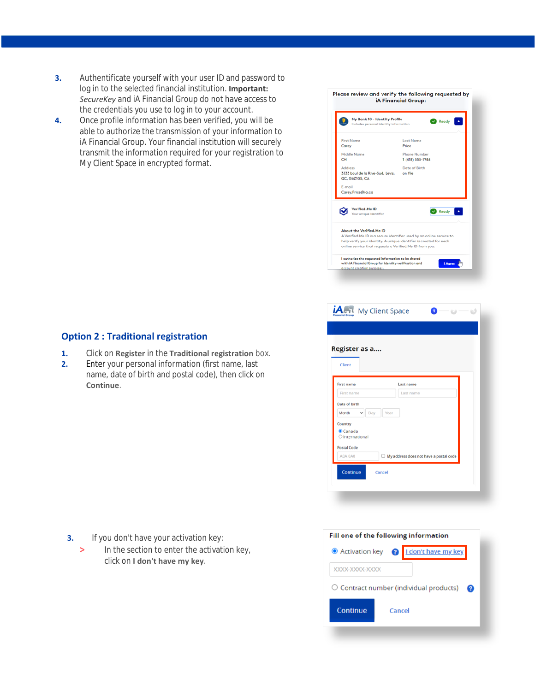- **3.** Authentificate yourself with your user ID and password to log in to the selected financial institution. **Important:** *SecureKey* and iA Financial Group do not have access to the credentials you use to log in to your account.
- **4.** Once profile information has been verified, you will be able to authorize the transmission of your information to iA Financial Group. Your financial institution will securely transmit the information required for your registration to My Client Space in encrypted format.



- **1.** Click on **Register** in the **Traditional registration** box.
- **2.** Enter your personal information (first name, last name, date of birth and postal code), then click on **Continue**.



In the section to enter the activation key, click on **I don't have my key**. **>**



| Register as a                       |                                               |  |
|-------------------------------------|-----------------------------------------------|--|
| Client                              |                                               |  |
| <b>First name</b>                   | Last name                                     |  |
| First name                          | Last name                                     |  |
| Date of birth                       |                                               |  |
| Month<br>Day                        | Year                                          |  |
| Country<br>Canada<br>OInternational |                                               |  |
| <b>Postal Code</b>                  |                                               |  |
| A0A 0A0                             | $\Box$ My address does not have a postal code |  |
| Continue                            | Cancel                                        |  |